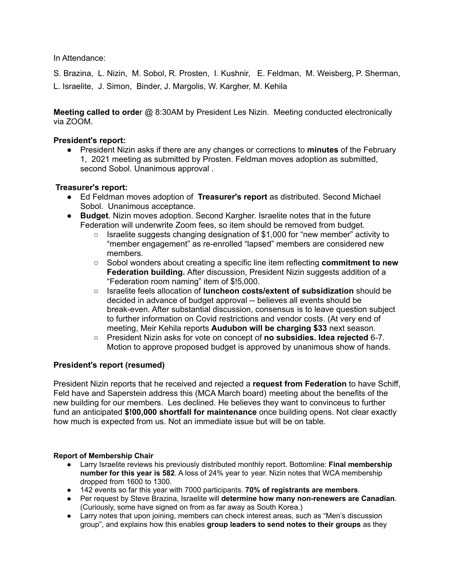In Attendance:

S. Brazina, L. Nizin, M. Sobol, R. Prosten, I. Kushnir, E. Feldman, M. Weisberg, P. Sherman, L. Israelite, J. Simon, Binder, J. Margolis, W. Kargher, M. Kehila

**Meeting called to orde**r @ 8:30AM by President Les Nizin. Meeting conducted electronically via ZOOM.

# **President's report:**

● President Nizin asks if there are any changes or corrections to **minutes** of the February 1, 2021 meeting as submitted by Prosten. Feldman moves adoption as submitted, second Sobol. Unanimous approval .

# **Treasurer's report:**

- Ed Feldman moves adoption of **Treasurer's report** as distributed. Second Michael Sobol. Unanimous acceptance.
- **Budget**. Nizin moves adoption. Second Kargher. Israelite notes that in the future Federation will underwrite Zoom fees, so item should be removed from budget.
	- Israelite suggests changing designation of \$1,000 for "new member" activity to "member engagement" as re-enrolled "lapsed" members are considered new members.
	- Sobol wonders about creating a specific line item reflecting **commitment to new Federation building.** After discussion, President Nizin suggests addition of a "Federation room naming" item of \$!5,000.
	- Israelite feels allocation of **luncheon costs/extent of subsidization** should be decided in advance of budget approval -- believes all events should be break-even. After substantial discussion, consensus is to leave question subject to further information on Covid restrictions and vendor costs. (At very end of meeting, Meir Kehila reports **Audubon will be charging \$33** next season.
	- President Nizin asks for vote on concept of **no subsidies. Idea rejected** 6-7. Motion to approve proposed budget is approved by unanimous show of hands.

## **President's report (resumed)**

President Nizin reports that he received and rejected a **request from Federation** to have Schiff, Feld have and Saperstein address this (MCA March board) meeting about the benefits of the new building for our members. Les declined. He believes they want to convinceus to further fund an anticipated **\$!00,000 shortfall for maintenance** once building opens. Not clear exactly how much is expected from us. Not an immediate issue but will be on table.

## **Report of Membership Chair**

- Larry Israelite reviews his previously distributed monthly report. Bottomline: **Final membership number for this year is 582**. A loss of 24% year to year. Nizin notes that WCA membership dropped from 1600 to 1300.
- 142 events so far this year with 7000 participants. **70% of registrants are members**.
- Per request by Steve Brazina, Israelite will **determine how many non-renewers are Canadian**. (Curiously, some have signed on from as far away as South Korea.)
- Larry notes that upon joining, members can check interest areas, such as "Men's discussion group", and explains how this enables **group leaders to send notes to their groups** as they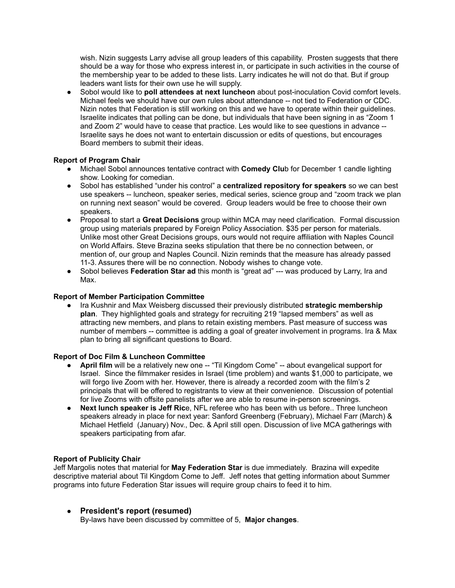wish. Nizin suggests Larry advise all group leaders of this capability. Prosten suggests that there should be a way for those who express interest in, or participate in such activities in the course of the membership year to be added to these lists. Larry indicates he will not do that. But if group leaders want lists for their own use he will supply.

● Sobol would like to **poll attendees at next luncheon** about post-inoculation Covid comfort levels. Michael feels we should have our own rules about attendance -- not tied to Federation or CDC. Nizin notes that Federation is still working on this and we have to operate within their guidelines. Israelite indicates that polling can be done, but individuals that have been signing in as "Zoom 1 and Zoom 2" would have to cease that practice. Les would like to see questions in advance -- Israelite says he does not want to entertain discussion or edits of questions, but encourages Board members to submit their ideas.

### **Report of Program Chair**

- Michael Sobol announces tentative contract with **Comedy Clu**b for December 1 candle lighting show. Looking for comedian.
- Sobol has established "under his control" a **centralized repository for speakers** so we can best use speakers -- luncheon, speaker series, medical series, science group and "zoom track we plan on running next season" would be covered. Group leaders would be free to choose their own speakers.
- Proposal to start a **Great Decisions** group within MCA may need clarification. Formal discussion group using materials prepared by Foreign Policy Association. \$35 per person for materials. Unlike most other Great Decisions groups, ours would not require affiliation with Naples Council on World Affairs. Steve Brazina seeks stipulation that there be no connection between, or mention of, our group and Naples Council. Nizin reminds that the measure has already passed 11-3. Assures there will be no connection. Nobody wishes to change vote.
- Sobol believes **Federation Star ad** this month is "great ad" --- was produced by Larry, Ira and Max.

### **Report of Member Participation Committee**

● Ira Kushnir and Max Weisberg discussed their previously distributed **strategic membership plan**. They highlighted goals and strategy for recruiting 219 "lapsed members" as well as attracting new members, and plans to retain existing members. Past measure of success was number of members -- committee is adding a goal of greater involvement in programs. Ira & Max plan to bring all significant questions to Board.

### **Report of Doc Film & Luncheon Committee**

- **April film** will be a relatively new one -- "Til Kingdom Come" -- about evangelical support for Israel. Since the filmmaker resides in Israel (time problem) and wants \$1,000 to participate, we will forgo live Zoom with her. However, there is already a recorded zoom with the film's 2 principals that will be offered to registrants to view at their convenience. Discussion of potential for live Zooms with offsite panelists after we are able to resume in-person screenings.
- **Next lunch speaker is Jeff Rice, NFL referee who has been with us before.. Three luncheon** speakers already in place for next year: Sanford Greenberg (February), Michael Farr (March) & Michael Hetfield (January) Nov., Dec. & April still open. Discussion of live MCA gatherings with speakers participating from afar.

## **Report of Publicity Chair**

Jeff Margolis notes that material for **May Federation Star** is due immediately. Brazina will expedite descriptive material about Til Kingdom Come to Jeff. Jeff notes that getting information about Summer programs into future Federation Star issues will require group chairs to feed it to him.

## ● **President's report (resumed)**

By-laws have been discussed by committee of 5, **Major changes**.